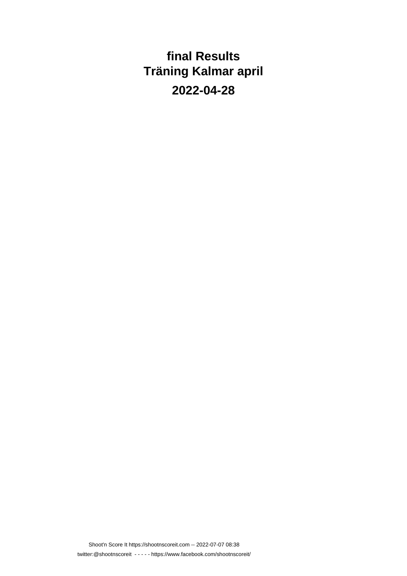**final Results Träning Kalmar april 2022-04-28**

Shoot'n Score It https://shootnscoreit.com -- 2022-07-07 08:38 twitter:@shootnscoreit - - - - - https://www.facebook.com/shootnscoreit/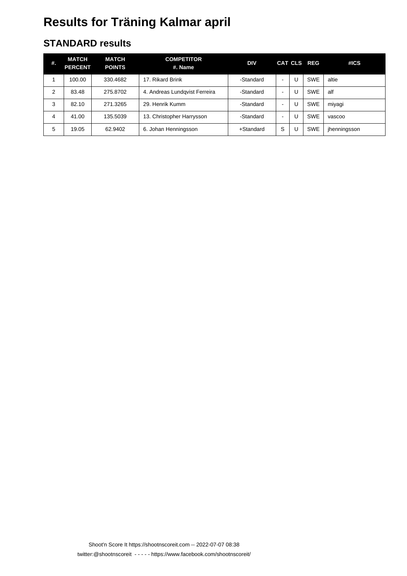### **STANDARD results**

| #.             | MATCH<br><b>PERCENT</b> | <b>MATCH</b><br><b>POINTS</b> | <b>COMPETITOR</b><br>#. Name  | <b>DIV</b> |                | CAT CLS REG | #ICS         |
|----------------|-------------------------|-------------------------------|-------------------------------|------------|----------------|-------------|--------------|
|                | 100.00                  | 330.4682                      | 17. Rikard Brink              | -Standard  | $\blacksquare$ | <b>SWE</b>  | altie        |
| $\overline{2}$ | 83.48                   | 275,8702                      | 4. Andreas Lundqvist Ferreira | -Standard  | $\,$           | <b>SWE</b>  | alf          |
| 3              | 82.10                   | 271.3265                      | 29. Henrik Kumm               | -Standard  | $\blacksquare$ | <b>SWE</b>  | miyagi       |
| 4              | 41.00                   | 135.5039                      | 13. Christopher Harrysson     | -Standard  | $\blacksquare$ | <b>SWE</b>  | vascoo       |
| 5              | 19.05                   | 62.9402                       | 6. Johan Henningsson          | +Standard  | S              | <b>SWE</b>  | jhenningsson |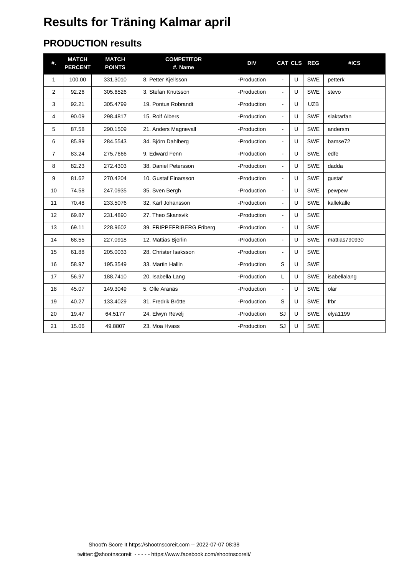### **PRODUCTION results**

| #.             | <b>MATCH</b><br><b>PERCENT</b> | <b>MATCH</b><br><b>POINTS</b> | <b>COMPETITOR</b><br>#. Name | <b>DIV</b>  |                       |              | CAT CLS REG | #ICS          |
|----------------|--------------------------------|-------------------------------|------------------------------|-------------|-----------------------|--------------|-------------|---------------|
| $\mathbf{1}$   | 100.00                         | 331.3010                      | 8. Petter Kjellsson          | -Production | $\sim$                | U            | <b>SWE</b>  | petterk       |
| 2              | 92.26                          | 305.6526                      | 3. Stefan Knutsson           | -Production | $\blacksquare$        | U            | <b>SWE</b>  | stevo         |
| 3              | 92.21                          | 305.4799                      | 19. Pontus Robrandt          | -Production | $\tilde{\phantom{a}}$ | U            | <b>UZB</b>  |               |
| 4              | 90.09                          | 298.4817                      | 15. Rolf Albers              | -Production | $\sim$                | $\mathbf{U}$ | <b>SWE</b>  | slaktarfan    |
| 5              | 87.58                          | 290.1509                      | 21. Anders Magnevall         | -Production | $\blacksquare$        | U            | <b>SWE</b>  | andersm       |
| 6              | 85.89                          | 284.5543                      | 34. Björn Dahlberg           | -Production | $\blacksquare$        | U            | <b>SWE</b>  | bamse72       |
| $\overline{7}$ | 83.24                          | 275.7666                      | 9. Edward Fenn               | -Production | $\blacksquare$        | $\cup$       | <b>SWE</b>  | edfe          |
| 8              | 82.23                          | 272.4303                      | 38. Daniel Petersson         | -Production | $\tilde{\phantom{a}}$ | U            | <b>SWE</b>  | dadda         |
| 9              | 81.62                          | 270.4204                      | 10. Gustaf Einarsson         | -Production | $\blacksquare$        | U            | <b>SWE</b>  | qustaf        |
| 10             | 74.58                          | 247.0935                      | 35. Sven Bergh               | -Production | $\tilde{\phantom{a}}$ | U            | <b>SWE</b>  | pewpew        |
| 11             | 70.48                          | 233.5076                      | 32. Karl Johansson           | -Production | $\blacksquare$        | U            | <b>SWE</b>  | kallekalle    |
| 12             | 69.87                          | 231.4890                      | 27. Theo Skansvik            | -Production | $\blacksquare$        | $\cup$       | <b>SWE</b>  |               |
| 13             | 69.11                          | 228.9602                      | 39. FRIPPEFRIBERG Friberg    | -Production | $\blacksquare$        | U            | <b>SWE</b>  |               |
| 14             | 68.55                          | 227.0918                      | 12. Mattias Bjerlin          | -Production | $\blacksquare$        | $\cup$       | <b>SWE</b>  | mattias790930 |
| 15             | 61.88                          | 205.0033                      | 28. Christer Isaksson        | -Production | $\overline{a}$        | U            | <b>SWE</b>  |               |
| 16             | 58.97                          | 195.3549                      | 33. Martin Hallin            | -Production | S                     | U            | SWE         |               |
| 17             | 56.97                          | 188.7410                      | 20. Isabella Lang            | -Production | L                     | U            | <b>SWE</b>  | isabellalang  |
| 18             | 45.07                          | 149.3049                      | 5. Olle Aranäs               | -Production | $\blacksquare$        | U            | <b>SWE</b>  | olar          |
| 19             | 40.27                          | 133.4029                      | 31. Fredrik Brötte           | -Production | S                     | U            | <b>SWE</b>  | frbr          |
| 20             | 19.47                          | 64.5177                       | 24. Elwyn Revelj             | -Production | SJ                    | U            | <b>SWE</b>  | elya1199      |
| 21             | 15.06                          | 49.8807                       | 23. Moa Hvass                | -Production | SJ                    | U            | <b>SWE</b>  |               |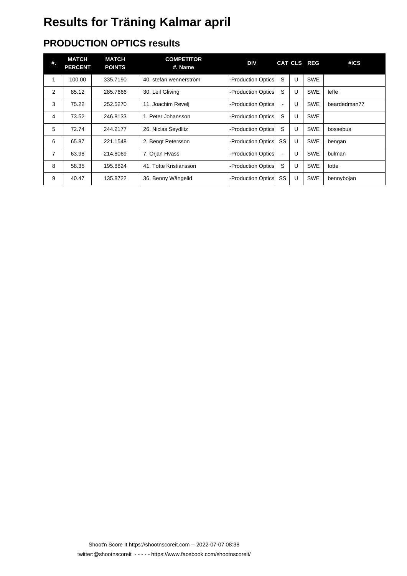### **PRODUCTION OPTICS results**

| #. | <b>MATCH</b><br><b>PERCENT</b> | <b>MATCH</b><br><b>POINTS</b> | <b>COMPETITOR</b><br>#. Name | <b>DIV</b>         |                |   | CAT CLS REG | #ICS         |
|----|--------------------------------|-------------------------------|------------------------------|--------------------|----------------|---|-------------|--------------|
| 1  | 100.00                         | 335.7190                      | 40. stefan wennerström       | -Production Optics | S              | U | <b>SWE</b>  |              |
| 2  | 85.12                          | 285.7666                      | 30. Leif Gliving             | -Production Optics | S              | U | <b>SWE</b>  | leffe        |
| 3  | 75.22                          | 252.5270                      | 11. Joachim Reveli           | -Production Optics | $\blacksquare$ | U | <b>SWE</b>  | beardedman77 |
| 4  | 73.52                          | 246.8133                      | 1. Peter Johansson           | -Production Optics | S              | U | <b>SWE</b>  |              |
| 5  | 72.74                          | 244.2177                      | 26. Niclas Seydlitz          | -Production Optics | S              | U | <b>SWE</b>  | bossebus     |
| 6  | 65.87                          | 221.1548                      | 2. Bengt Petersson           | -Production Optics | <b>SS</b>      | U | <b>SWE</b>  | bengan       |
| 7  | 63.98                          | 214.8069                      | 7. Örjan Hvass               | -Production Optics | $\blacksquare$ | U | <b>SWE</b>  | bulman       |
| 8  | 58.35                          | 195.8824                      | 41. Totte Kristiansson       | -Production Optics | S              | U | <b>SWE</b>  | totte        |
| 9  | 40.47                          | 135.8722                      | 36. Benny Wångelid           | -Production Optics | SS             | U | <b>SWE</b>  | bennybojan   |